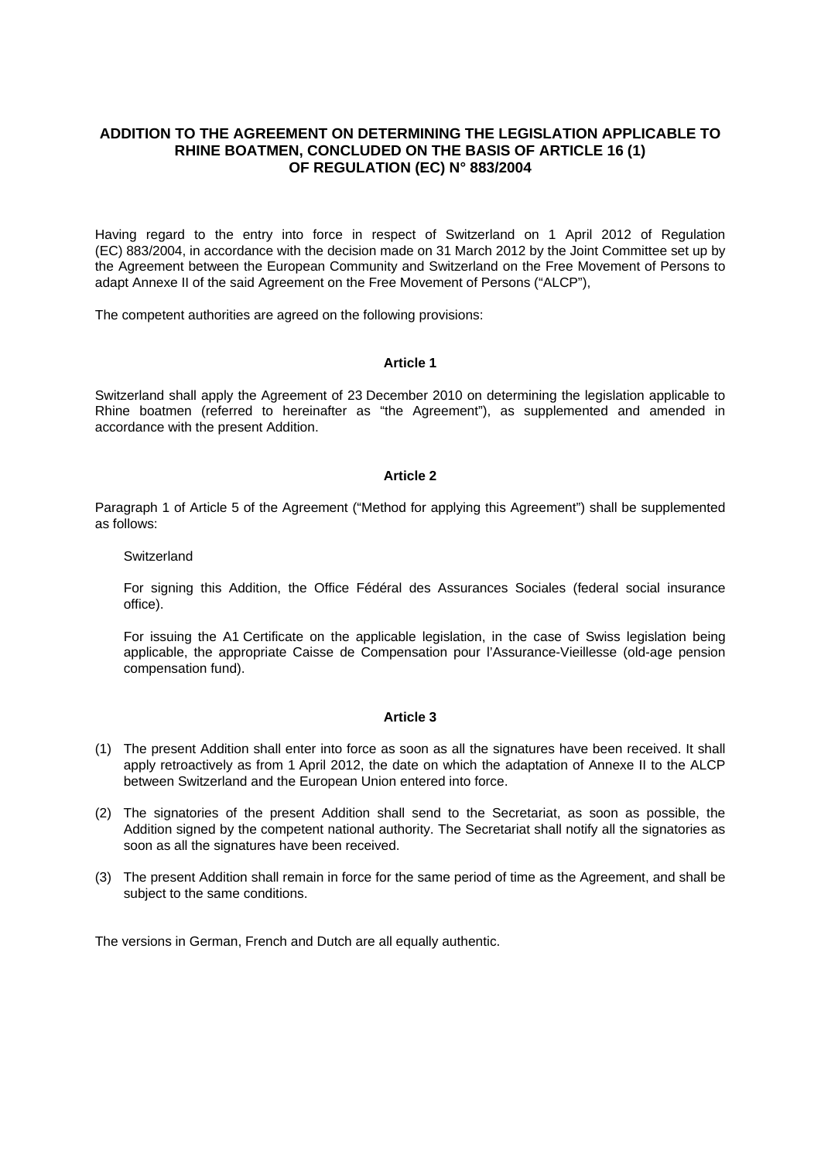## **ADDITION TO THE AGREEMENT ON DETERMINING THE LEGISLATION APPLICABLE TO RHINE BOATMEN, CONCLUDED ON THE BASIS OF ARTICLE 16 (1) OF REGULATION (EC) N° 883/2004**

Having regard to the entry into force in respect of Switzerland on 1 April 2012 of Regulation (EC) 883/2004, in accordance with the decision made on 31 March 2012 by the Joint Committee set up by the Agreement between the European Community and Switzerland on the Free Movement of Persons to adapt Annexe II of the said Agreement on the Free Movement of Persons ("ALCP"),

The competent authorities are agreed on the following provisions:

### **Article 1**

Switzerland shall apply the Agreement of 23 December 2010 on determining the legislation applicable to Rhine boatmen (referred to hereinafter as "the Agreement"), as supplemented and amended in accordance with the present Addition.

#### **Article 2**

Paragraph 1 of Article 5 of the Agreement ("Method for applying this Agreement") shall be supplemented as follows:

#### **Switzerland**

For signing this Addition, the Office Fédéral des Assurances Sociales (federal social insurance office).

For issuing the A1 Certificate on the applicable legislation, in the case of Swiss legislation being applicable, the appropriate Caisse de Compensation pour l'Assurance-Vieillesse (old-age pension compensation fund).

### **Article 3**

- (1) The present Addition shall enter into force as soon as all the signatures have been received. It shall apply retroactively as from 1 April 2012, the date on which the adaptation of Annexe II to the ALCP between Switzerland and the European Union entered into force.
- (2) The signatories of the present Addition shall send to the Secretariat, as soon as possible, the Addition signed by the competent national authority. The Secretariat shall notify all the signatories as soon as all the signatures have been received.
- (3) The present Addition shall remain in force for the same period of time as the Agreement, and shall be subject to the same conditions.

The versions in German, French and Dutch are all equally authentic.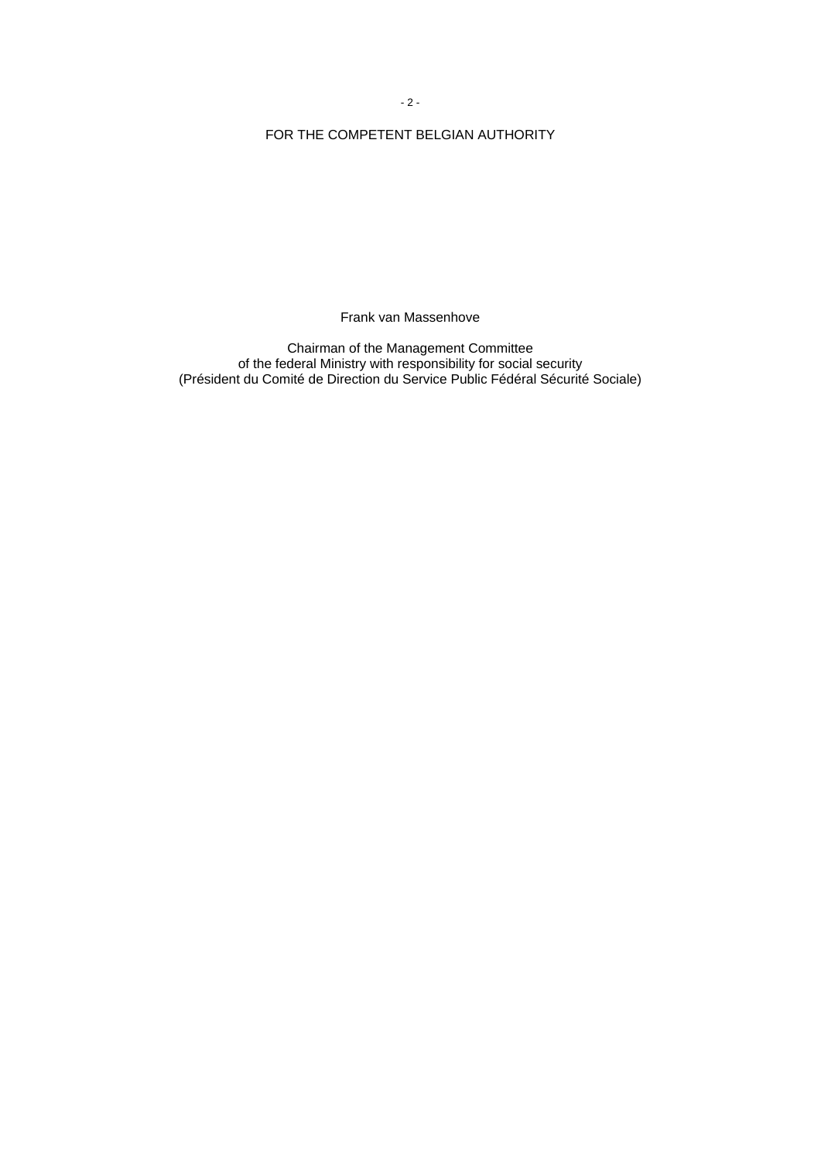- 2 -

# FOR THE COMPETENT BELGIAN AUTHORITY

Frank van Massenhove

Chairman of the Management Committee of the federal Ministry with responsibility for social security (Président du Comité de Direction du Service Public Fédéral Sécurité Sociale)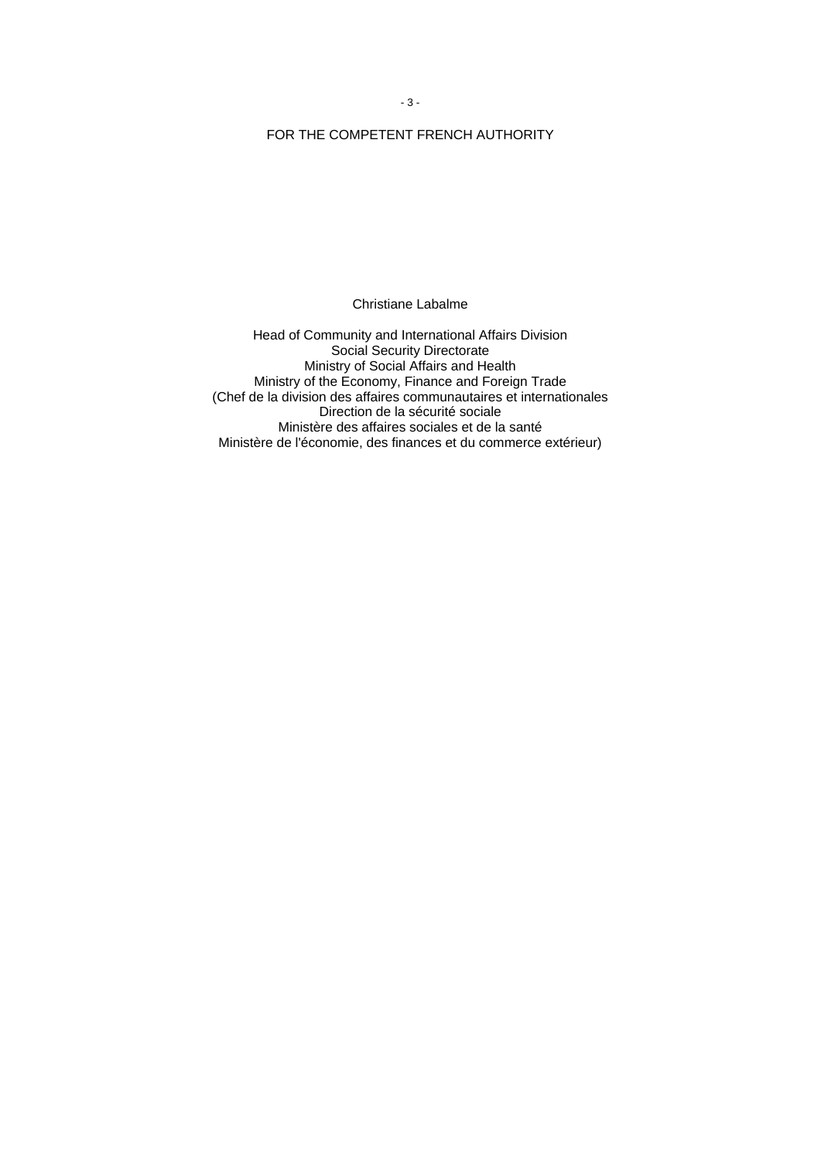- 3 -

# FOR THE COMPETENT FRENCH AUTHORITY

Christiane Labalme

Head of Community and International Affairs Division Social Security Directorate Ministry of Social Affairs and Health Ministry of the Economy, Finance and Foreign Trade (Chef de la division des affaires communautaires et internationales Direction de la sécurité sociale Ministère des affaires sociales et de la santé Ministère de l'économie, des finances et du commerce extérieur)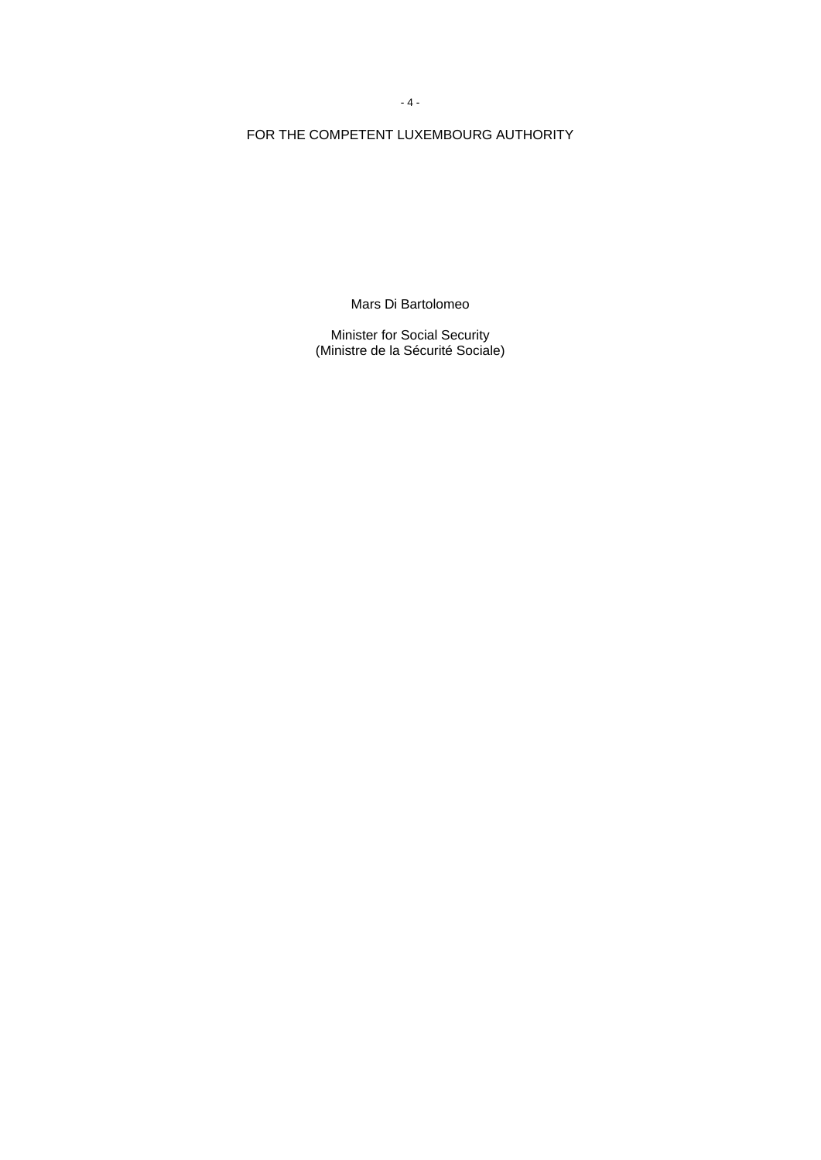FOR THE COMPETENT LUXEMBOURG AUTHORITY

Mars Di Bartolomeo

Minister for Social Security (Ministre de la Sécurité Sociale)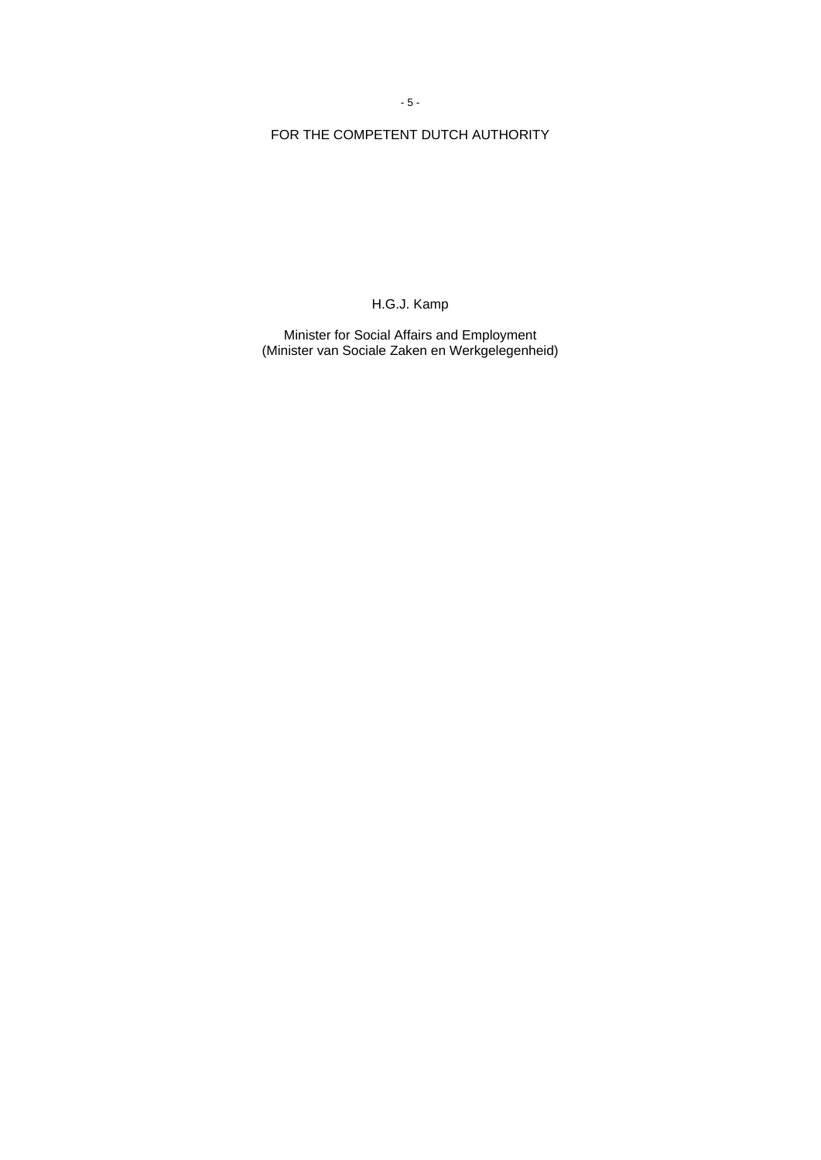- 5 -

# FOR THE COMPETENT DUTCH AUTHORITY

H.G.J. Kamp

Minister for Social Affairs and Employment (Minister van Sociale Zaken en Werkgelegenheid)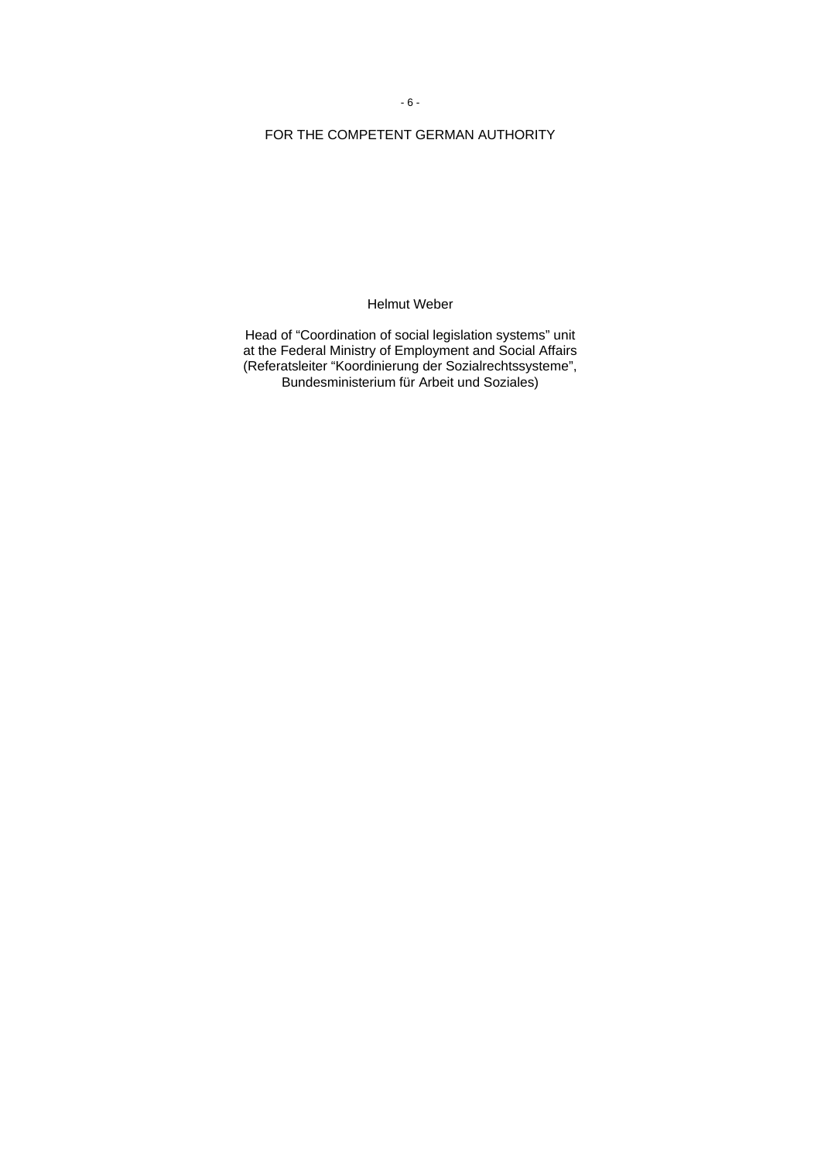# FOR THE COMPETENT GERMAN AUTHORITY

Helmut Weber

Head of "Coordination of social legislation systems" unit at the Federal Ministry of Employment and Social Affairs (Referatsleiter "Koordinierung der Sozialrechtssysteme", Bundesministerium für Arbeit und Soziales)